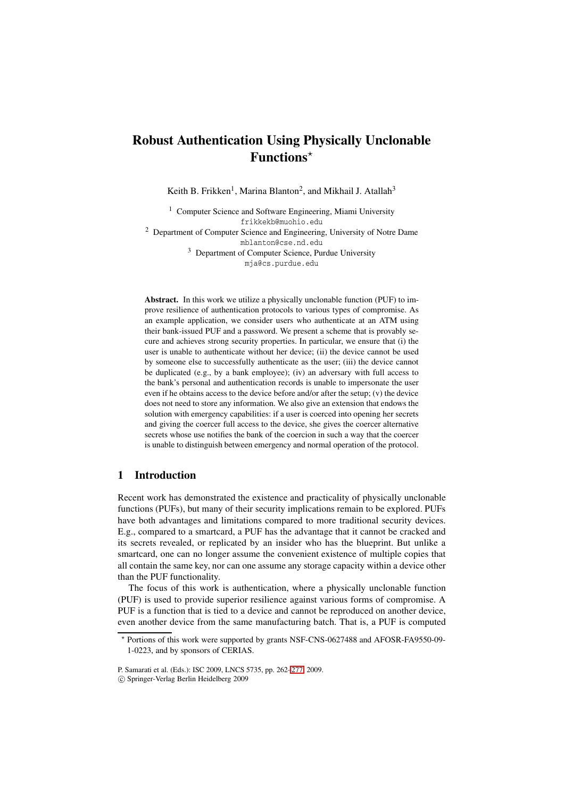# **Robust Authentication Using Physically Unclonable Functions**-

Keith B. Frikken<sup>1</sup>, Marina Blanton<sup>2</sup>, and Mikhail J. Atallah<sup>3</sup>

<sup>1</sup> Computer Science and Software Engineering, Miami University frikkekb@muohio.edu

<sup>2</sup> Department of Computer Science and Engineering, University of Notre Dame mblanton@cse.nd.edu

> <sup>3</sup> Department of Computer Science, Purdue University mja@cs.purdue.edu

**Abstract.** In this work we utilize a physically unclonable function (PUF) to improve resilience of authentication protocols to various types of compromise. As an example application, we consider users who authenticate at an ATM using their bank-issued PUF and a password. We present a scheme that is provably secure and achieves strong security properties. In particular, we ensure that (i) the user is unable to authenticate without her device; (ii) the device cannot be used by someone else to successfully authenticate as the user; (iii) the device cannot be duplicated (e.g., by a bank employee); (iv) an adversary with full access to the bank's personal and authentication records is unable to impersonate the user even if he obtains access to the device before and/or after the setup; (v) the device does not need to store any information. We also give an extension that endows the solution with emergency capabilities: if a user is coerced into opening her secrets and giving the coercer full access to the device, she gives the coercer alternative secrets whose use notifies the bank of the coercion in such a way that the coercer is unable to distinguish between emergency and normal operation of the protocol.

# **1 Introduction**

Recent work has demonstrated the existence and practicality of physically unclonable functions (PUFs), but many of their security implications remain to be explored. PUFs have both advantages and limitations compared to more traditional security devices. E.g., compared to a smartcard, a PUF has the advantage that it cannot be cracked and its secrets revealed, or replicated by an insider who has the blueprint. But unlike a smartcard, one can no longer assume the convenient existence of multiple copies that all contain the same key, nor can one assume any storage capacity within a device other than the PUF functionality.

The focus of this work is authentication, where a physically unclonable function (PUF) is used to provide superior resilience against various forms of compromise. A PUF is a function that is tied to a device and cannot be reproduced on another device, even another device from the same manufacturing batch. That is, a PUF is computed

<sup>-</sup> Portions of this work were supported by grants NSF-CNS-0627488 and AFOSR-FA9550-09- 1-0223, and by sponsors of CERIAS.

P. Samarati et al. (Eds.): ISC 2009, LNCS 5735, pp. 262–277, 2009.

<sup>-</sup>c Springer-Verlag Berlin Heidelberg 2009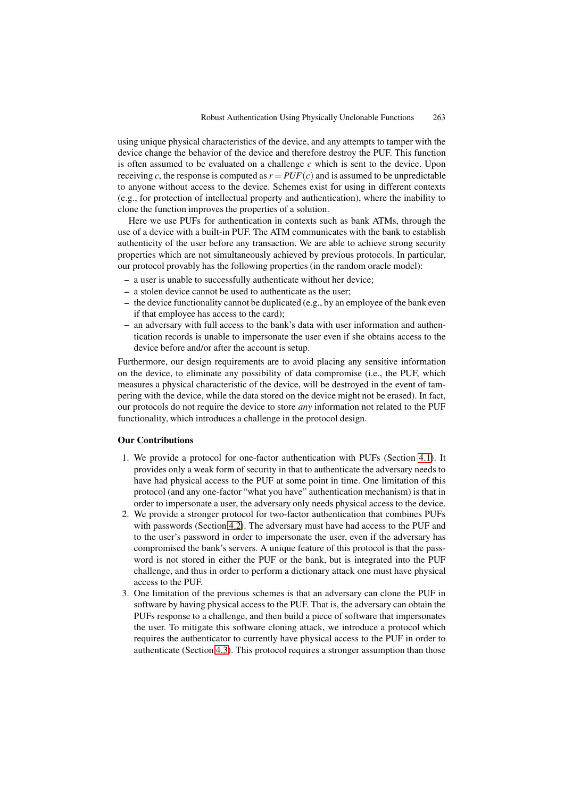using unique physical characteristics of the device, and any attempts to tamper with the device change the behavior of the device and therefore destroy the PUF. This function is often assumed to be evaluated on a challenge *c* which is sent to the device. Upon receiving *c*, the response is computed as  $r = PUF(c)$  and is assumed to be unpredictable to anyone without access to the device. Schemes exist for using in different contexts (e.g., for protection of intellectual property and authentication), where the inability to clone the function improves the properties of a solution.

Here we use PUFs for authentication in contexts such as bank ATMs, through the use of a device with a built-in PUF. The ATM communicates with the bank to establish authenticity of the user before any transaction. We are able to achieve strong security properties which are not simultaneously achieved by previous protocols. In particular, our protocol provably has the following properties (in the random oracle model):

- **–** a user is unable to successfully authenticate without her device;
- **–** a stolen device cannot be used to authenticate as the user;
- **–** the device functionality cannot be duplicated (e.g., by an employee of the bank even if that employee has access to the card);
- **–** an adversary with full access to the bank's data with user information and authentication records is unable to impersonate the user even if she obtains access to the device before and/or after the account is setup.

Furthermore, our design requirements are to avoid placing any sensitive information on the device, to eliminate any possibility of data compromise (i.e., the PUF, which measures a physical characteristic of the device, will be destroyed in the event of tampering with the device, while the data stored on the device might not be erased). In fact, our protocols do not require the device to store *any* information not related to the PUF functionality, which introduces a challenge in the protocol design.

#### **Our Contributions**

- 1. We provide a protocol for one-factor authentication with PUFs (Section 4.1). It provides only a weak form of security in that to authenticate the adversary needs to have had physical access to the PUF at some point in time. One limitation of this protocol (and any one-factor "what you have" authentication mechanism) is that in order to impersonate a user, the adversary only needs physical access to the [dev](#page-7-0)ice.
- 2. We provide a stronger protocol for two-factor authentication that combines PUFs with passwords (Section 4.2). The adversary must have had access to the PUF and to the user's password in order to impersonate the user, even if the adversary has compromised the bank's servers. A unique feature of this protocol is that the password is not stored in either the PUF or the bank, but is integrated into the PUF challenge, and thus in or[der](#page-7-1) to perform a dictionary attack one must have physical access to the PUF.
- 3. One limitation of the previous schemes is that an adversary can clone the PUF in software by having physical access to the PUF. That is, the adversary can obtain the PUFs response to a challenge, and then build a piece of software that impersonates the user. To mitigate this software cloning attack, we introduce a protocol which requires the authenticator to currently have physical access to the PUF in order to authenticate (Section 4.3). This protocol requires a stronger assumption than those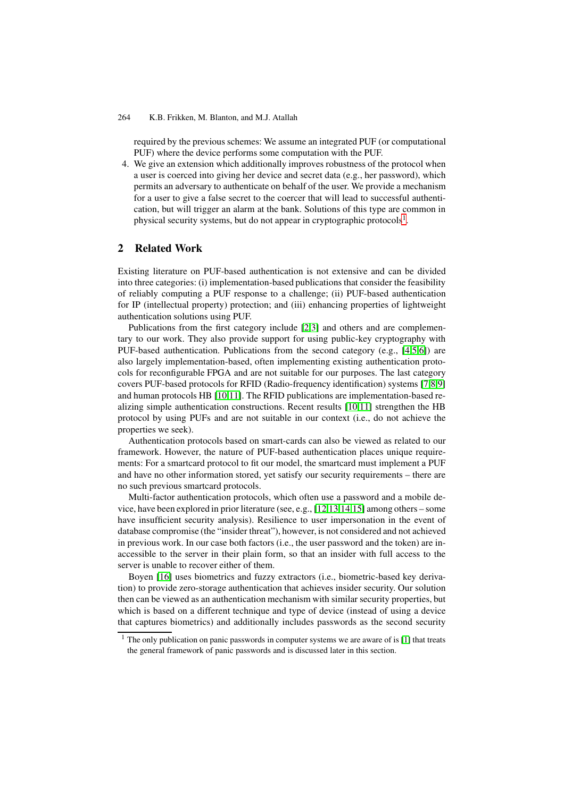required by the previous schemes: We assume an integrated PUF (or computational PUF) where the device performs some computation with the PUF.

4. We give an extension which additionally improves robustness of the protocol when a user is coerced into giving her device and secret data (e.g., her password), which permits an adversary to authenticate on behalf of the user. We provide a mechanism for a user to give a false secret to the coercer that will lead to successful authentication, but will trigger an alarm at the bank. Solutions of this type are common in physical security systems, but do not appear in cryptographic protocols<sup>1</sup>.

# **2 Related Work**

Existing literature on PUF-based authentication is not extensive and can [b](#page-2-0)e divided into three categories: (i) implementation-based publications that consider the feasibility of reliably computing a PUF response to a challenge; (ii) PUF-based authentication for IP (intellectual property) protection; and (iii) enhancing properties of lightweight authentication solutions using PUF.

Publications from the first category include [2,3] and others and are complementary to our work. They also provide support for using public-key cryptography with PUF-based authentication. Publications from the second category (e.g., [4,5,6]) are also largely implementation-based, often implementing existing authentication protocols for reconfigurable FPGA and are not suitab[le](#page-14-0) [fo](#page-15-0)r our purposes. The last category covers PUF-based protocols for RFID (Radio-frequency identification) systems [7,8,9] and human protocols HB [10,11]. The RFID publications are implementatio[n-](#page-15-1)[b](#page-15-2)[ase](#page-15-3)d realizing simple authentication constructions. Recent results [10,11] strengthen the HB protocol by using PUFs and are not suitable in our context (i.e., do not achieve the properties we seek).

Authentication protoc[ols b](#page-15-4)[ase](#page-15-5)d on smart-cards can also be viewed as related to our framework. However, the nature of PUF-based authenticat[ion](#page-15-4) [pla](#page-15-5)ces unique requirements: For a smartcard protocol to fit our model, the smartcard must implement a PUF and have no other information stored, yet satisfy our security requirements – there are no such previous smartcard protocols.

Multi-factor authentication protocols, which often use a password and a mobile device, have been explored in prior literature (see, e.g., [12,13,14,15] among others – some have insufficient security analysis). Resilience to user impersonation in the event of database compromise (the "insider threat"), however, is not considered and not achieved in previous work. In our case both factors (i.e., the user password and the token) are inaccessible to the server in their plain form, so that [an](#page-15-6) [in](#page-15-7)[side](#page-15-8)[r w](#page-15-9)ith full access to the server is unable to recover either of them.

Boyen [16] uses biometrics and fuzzy extractors (i.e., biometric-based key derivation) to provide zero-storage authentication that achieves insider security. Our solution then can be viewed as an authentication mechanism with similar security properties, but which is based on a different technique and type of device (instead of using a device that captu[res](#page-15-10) biometrics) and additionally includes passwords as the second security

<span id="page-2-0"></span><sup>&</sup>lt;sup>1</sup> The only publication on panic passwords in computer systems we are aware of is [1] that treats the general framework of panic passwords and is discussed later in this section.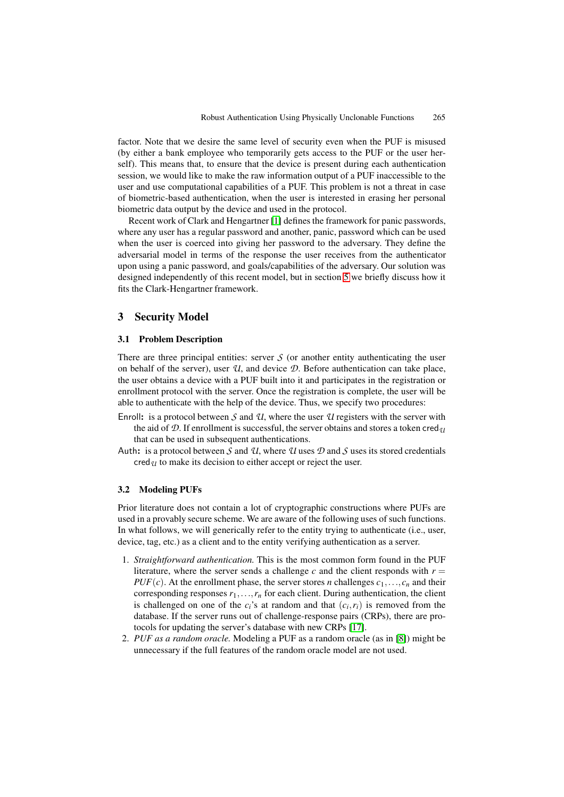factor. Note that we desire the same level of security even when the PUF is misused (by either a bank employee who temporarily gets access to the PUF or the user herself). This means that, to ensure that the device is present during each authentication session, we would like to make the raw information output of a PUF inaccessible to the user and use computational capabilities of a PUF. This problem is not a threat in case of biometric-based authentication, when the user is interested in erasing her personal biometric data output by the device and used in the protocol.

Recent work of Clark and Hengartner [1] defines the framework for panic passwords, where any user has a regular password and another, panic, password which can be used when the user is coerced into giving her password to the adversary. They define the adversarial model in terms of the response the user receives from the authenticator upon using a panic password, and goals/[cap](#page-14-1)abilities of the adversary. Our solution was designed independently of this recent model, but in section 5 we briefly discuss how it fits the Clark-Hengartner framework.

### **3 Security Model**

#### **3.1 Problem Description**

There are three principal entities: server  $S$  (or another entity authenticating the user on behalf of the server), user *U*, and device *D*. Before authentication can take place, the user obtains a device with a PUF built into it and participates in the registration or enrollment protocol with the server. Once the registration is complete, the user will be able to authenticate with the help of the device. Thus, we specify two procedures:

- Enroll**:** is a protocol between *S* and *U*, where the user *U* registers with the server with the aid of D. If enrollment is successful, the server obtains and stores a token cred<sub>*U*</sub> that can be used in subsequent authentications.
- Auth: is a protocol between *S* and *U*, where *U* uses *D* and *S* uses its stored credentials  $\text{cred}_{\mathcal{U}}$  to make its decision to either accept or reject the user.

#### **3.2 Modeling PUFs**

Prior literature does not contain a lot of cryptographic constructions where PUFs are used in a provably secure scheme. We are aware of the following uses of such functions. In what follows, we will generically refer to the entity trying to authenticate (i.e., user, device, tag, etc.) as a client and to the entity verifying authentication as a server.

- 1. *Straightforward authentication.* This is the most common form found in the PUF literature, where the server sends a challenge  $c$  and the client responds with  $r =$  $PUF(c)$ . At the enrollment phase, the server stores *n* challenges  $c_1, \ldots, c_n$  and their corresponding responses  $r_1, \ldots, r_n$  for each client. During authentication, the client is challenged on one of the  $c_i$ 's at random and that  $(c_i, r_i)$  is removed from the database. If the server runs out of challenge-response pairs (CRPs), there are protocols for updating the server's database with new CRPs [17].
- 2. *PUF as a random oracle.* Modeling a PUF as a random oracle (as in [8]) might be unnecessary if the full features of the random oracle model are not used.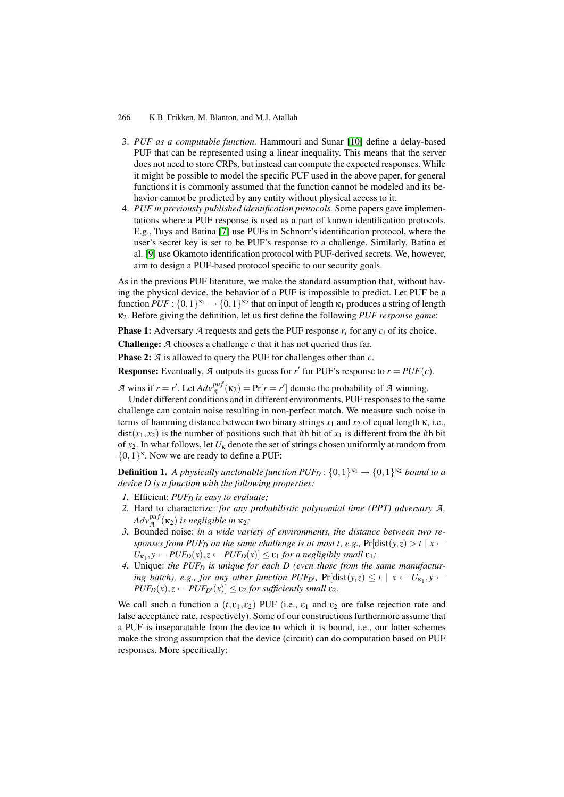- 266 K.B. Frikken, M. Blanton, and M.J. Atallah
- 3. *PUF as a computable function.* Hammouri and Sunar [10] define a delay-based PUF that can be represented using a linear inequality. This means that the server does not need to store CRPs, but instead can compute the expected responses. While it might be possible to model the specific PUF used in the above paper, for general functions it is commonly assumed that the function cann[ot b](#page-15-4)e modeled and its behavior cannot be predicted by any entity without physical access to it.
- 4. *PUF in previously published identification protocols.* Some papers gave implementations where a PUF response is used as a part of known identification protocols. E.g., Tuys and Batina [7] use PUFs in Schnorr's identification protocol, where the user's secret key is set to be PUF's response to a challenge. Similarly, Batina et al. [9] use Okamoto identification protocol with PUF-derived secrets. We, however, aim to design a PUF-based protocol specific to our security goals.

As in the previous PUF lit[era](#page-15-11)ture, we make the standard assumption that, without having the physical device, the behavior of a PUF is impossible to predict. Let PUF be a fu[n](#page-15-12)ction  $PUF: \{0,1\}^{k_1} \rightarrow \{0,1\}^{k_2}$  that on input of length  $\kappa_1$  produces a string of length κ2. Before giving the definition, let us first define the following *PUF response game*:

**Phase 1:** Adversary *A* requests and gets the PUF response *ri* for any *ci* of its choice.

**Challenge:** *A* chooses a challenge *c* that it has not queried thus far.

**Phase 2:** *A* is allowed to query the PUF for challenges other than *c*.

**Response:** Eventually,  $\mathcal{A}$  outputs its guess for  $r'$  for PUF's response to  $r = PUF(c)$ .

*A* wins if  $r = r'$ . Let  $Adv_{\mathcal{A}}^{put}(\kappa_2) = Pr[r = r']$  denote the probability of *A* winning.

Under different conditions and in different environments, PUF responses to the same challenge can contain noise resulting in non-perfect match. We measure such noise in terms of hamming distance between two binary strings  $x_1$  and  $x_2$  of equal length  $\kappa$ , i.e.,  $dist(x_1, x_2)$  is the number of positions such that *i*th bit of  $x_1$  is different from the *i*th bit of  $x_2$ . In what follows, let  $U_K$  denote the set of strings chosen uniformly at random from  ${0,1}^{\kappa}$ . Now we are ready to define a PUF:

**Definition 1.** *A physically unclonable function*  $PUF_D$  :  $\{0,1\}^{\kappa_1} \rightarrow \{0,1\}^{\kappa_2}$  *bound to a device D is a function with the following properties:*

- *1.* Efficient: *PUF<sub>D</sub> is easy to evaluate*;
- *2.* Hard to characterize: *for any probabilistic polynomial time (PPT) adversary A, Adv<sup>puf</sup>* (**κ**<sub>2</sub>) *is negligible in* **κ**<sub>2</sub>;
- *3.* Bounded noise: *in a wide variety of environments, the distance between two responses from PUF<sub>D</sub> on the same challenge is at most t, e.g.,*  $Pr[dist(y, z) > t | x \leftarrow$  $U_{\kappa_1}, y \leftarrow PUF_D(x), z \leftarrow PUF_D(x)] \le \varepsilon_1$  *for a negligibly small*  $\varepsilon_1$ *;*
- *4.* Unique: *the PUFD is unique for each D (even those from the same manufacturing batch), e.g., for any other function*  $PUF_{D'}$ *,*  $Pr[dist(y, z) \le t \mid x \leftarrow U_{\kappa_1}, y \leftarrow$  $PUF_D(x), z \leftarrow PUF_{D'}(x)] \leq \varepsilon_2$  *for sufficiently small*  $\varepsilon_2$ *.*

We call such a function a  $(t, \varepsilon_1, \varepsilon_2)$  PUF (i.e.,  $\varepsilon_1$  and  $\varepsilon_2$  are false rejection rate and false acceptance rate, respectively). Some of our constructions furthermore assume that a PUF is inseparatable from the device to which it is bound, i.e., our latter schemes make the strong assumption that the device (circuit) can do computation based on PUF responses. More specifically: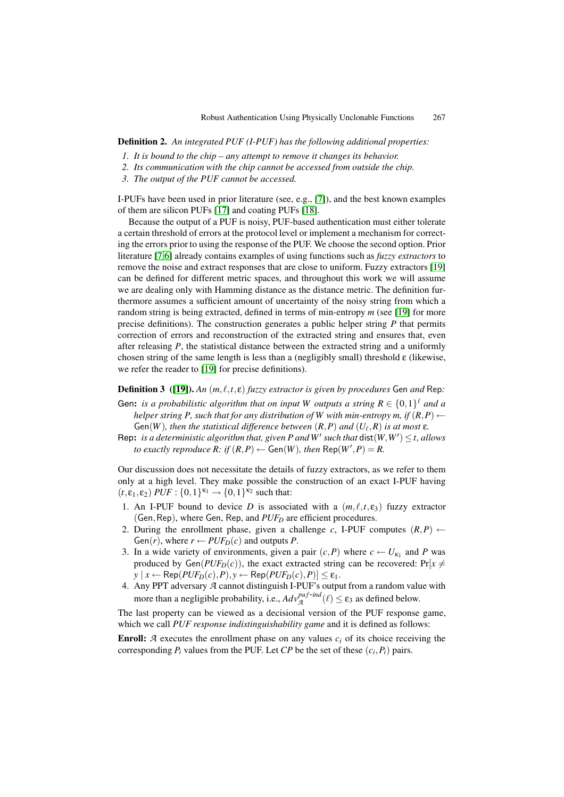**Definition 2.** *An integrated PUF (I-PUF) has the following additional properties:*

- *1. It is bound to the chip any attempt to remove it changes its behavior.*
- *2. Its communication with the chip cannot be accessed from outside the chip.*
- *3. The output of the PUF cannot be accessed.*

I-PUFs have been used in prior literature (see, e.g., [7]), and the best known examples of them are silicon PUFs [17] and coating PUFs [18].

Because the output of a PUF is noisy, PUF-based authentication must either tolerate a certain threshold of errors at the protocol level or implement a mechanism for correcting the errors prior to using the response of the PUF. [We](#page-15-11) choose the second option. Prior literature [7,6] already co[ntai](#page-15-13)ns examples of usin[g fu](#page-15-14)nctions such as *fuzzy extractors* to remove the noise and extract responses that are close to uniform. Fuzzy extractors [19] can be defined for different metric spaces, and throughout this work we will assume we are dealing only with Hamming distance as the distance metric. The definition furthermore [as](#page-15-11)[su](#page-15-3)mes a sufficient amount of uncertainty of the noisy string from which a random string is being extracted, defined in terms of min-entropy *m* (see [19] for [more](#page-15-15) precise definitions). The construction generates a public helper string *P* that permits correction of errors and reconstruction of the extracted string and ensures that, even after releasing *P*, the statistical distance between the extracted string and a uniformly chosen string of the same length is less than a (negligibly small) threshold  $\epsilon$  (likewise, we refer the reader to [19] for precise definitions).

**Definition 3** ([19]). An  $(m, \ell, t, \varepsilon)$  *fuzzy extractor is given by procedures* Gen *and* Rep:

- Gen: *is a probabilistic algorithm that on input W outputs a string*  $R \in \{0,1\}^{\ell}$  and a *helper string P, s[uch](#page-15-15) that for any distribution of W with min-entropy m, if*  $(R, P)$   $\leftarrow$ Gen(*W*), then the statistical difference between  $(R, P)$  and  $(U_{\ell}, R)$  is at most  $\varepsilon$ .
- Rep: *is a dete[rmin](#page-15-15)istic algorithm that, given P and W<sup>T</sup> such that*  $dist(W, W') \leq t$ *, allows to exactly reproduce*  $R$ : *if*  $(R, P)$   $\leftarrow$  Gen $(W)$ *, then*  $\text{Rep}(W', P) = R$ *.*

Our discussion does not necessitate the details of fuzzy extractors, as we refer to them only at a high level. They make possible the construction of an exact I-PUF having  $(t, \varepsilon_1, \varepsilon_2)$  *PUF* :  $\{0, 1\}^{\kappa_1} \to \{0, 1\}^{\kappa_2}$  such that:

- 1. An I-PUF bound to device *D* is associated with a  $(m, \ell, t, \epsilon_3)$  fuzzy extractor (Gen, Rep), where Gen, Rep, and *PUF<sub>D</sub>* are efficient procedures.
- 2. During the enrollment phase, given a challenge *c*, I-PUF computes  $(R, P) \leftarrow$ Gen(*r*), where  $r \leftarrow PUF_D(c)$  and outputs *P*.
- 3. In a wide variety of environments, given a pair  $(c, P)$  where  $c \leftarrow U_{\kappa_1}$  and P was produced by  $Gen(PUF_D(c))$ , the exact extracted string can be recovered:  $Pr[x \neq$  $y \mid x \leftarrow \text{Rep}(PUF_D(c), P), y \leftarrow \text{Rep}(PUF_D(c), P)] \le \varepsilon_1.$
- 4. Any PPT adversary *A* cannot distinguish I-PUF's output from a random value with more than a negligible probability, i.e.,  $Adv_{\mathcal{A}}^{put-ind}(\ell) \leq \varepsilon_3$  as defined below.

The last property can be viewed as a decisional version of the PUF response game, which we call *PUF response indistinguishability game* and it is defined as follows:

**Enroll:**  $\mathcal{A}$  executes the enrollment phase on any values  $c_i$  of its choice receiving the corresponding  $P_i$  values from the PUF. Let  $\overline{CP}$  be the set of these  $(c_i, P_i)$  pairs.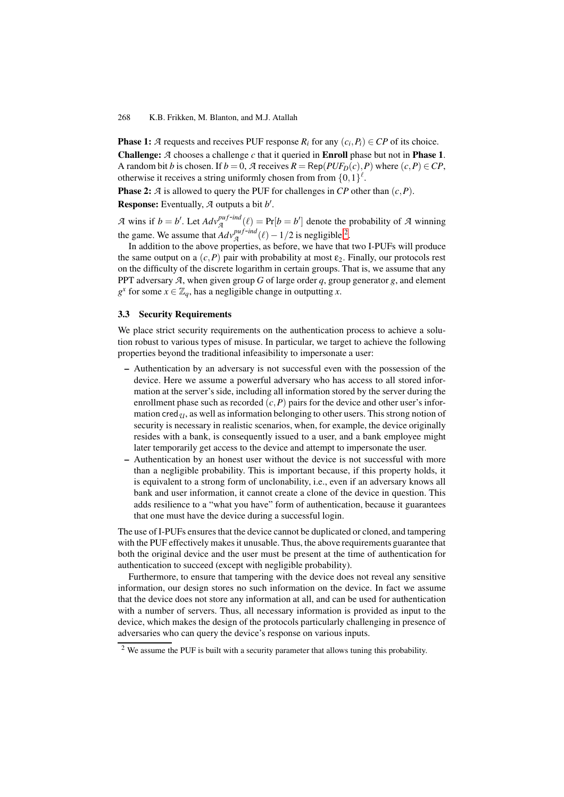**Phase 1:** *A* requests and receives PUF response  $R_i$  for any  $(c_i, P_i) \in CP$  of its choice. **Challenge:** *A* chooses a challenge *c* that it queried in **Enroll** phase but not in **Phase 1**. A random bit *b* is chosen. If  $b = 0$ , *A* receives  $R = \text{Rep}(PUF_D(c), P)$  where  $(c, P) \in CP$ , otherwise it receives a string uniformly chosen from from  $\{0,1\}^{\ell}$ .

**Phase 2:** *A* is allowed to query the PUF for challenges in *CP* other than  $(c, P)$ .

**Response:** Eventually, *A* outputs a bit *b* .

*A* wins if  $b = b'$ . Let  $Adv_{\mathcal{A}}^{put-ind}(\ell) = Pr[b = b']$  denote the probability of *A* winning the game. We assume that  $Adv_{\mathcal{A}}^{put\text{-}ind}(\ell) - 1/2$  is negligible <sup>2</sup>.

In addition to the above properties, as before, we have that two I-PUFs will produce the same output on a  $(c, P)$  pair with probability at most  $\varepsilon_2$ . Finally, our protocols rest on the difficulty of the discrete logarithm in certain groups. That is, we assume that any PPT adversary *A*, when given group *G* of large order *q*, gro[up](#page-6-0) generator *g*, and element *g<sup>x</sup>* for some  $x \in \mathbb{Z}_q$ , has a negligible change in outputting *x*.

#### **3.3 Security Requirements**

We place strict security requirements on the authentication process to achieve a solution robust to various types of misuse. In particular, we target to achieve the following properties beyond the traditional infeasibility to impersonate a user:

- **–** Authentication by an adversary is not successful even with the possession of the device. Here we assume a powerful adversary who has access to all stored information at the server's side, including all information stored by the server during the enrollment phase such as recorded  $(c, P)$  pairs for the device and other user's information cred<sub>*U*</sub>, as well as information belonging to other users. This strong notion of security is necessary in realistic scenarios, when, for example, the device originally resides with a bank, is consequently issued to a user, and a bank employee might later temporarily get access to the device and attempt to impersonate the user.
- **–** Authentication by an honest user without the device is not successful with more than a negligible probability. This is important because, if this property holds, it is equivalent to a strong form of unclonability, i.e., even if an adversary knows all bank and user information, it cannot create a clone of the device in question. This adds resilience to a "what you have" form of authentication, because it guarantees that one must have the device during a successful login.

The use of I-PUFs ensures that the device cannot be duplicated or cloned, and tampering with the PUF effectively makes it unusable. Thus, the above requirements guarantee that both the original device and the user must be present at the time of authentication for authentication to succeed (except with negligible probability).

Furthermore, to ensure that tampering with the device does not reveal any sensitive information, our design stores no such information on the device. In fact we assume that the device does not store any information at all, and can be used for authentication with a number of servers. Thus, all necessary information is provided as input to the device, which makes the design of the protocols particularly challenging in presence of adversaries who can query the device's response on various inputs.

<span id="page-6-0"></span> $2$  We assume the PUF is built with a security parameter that allows tuning this probability.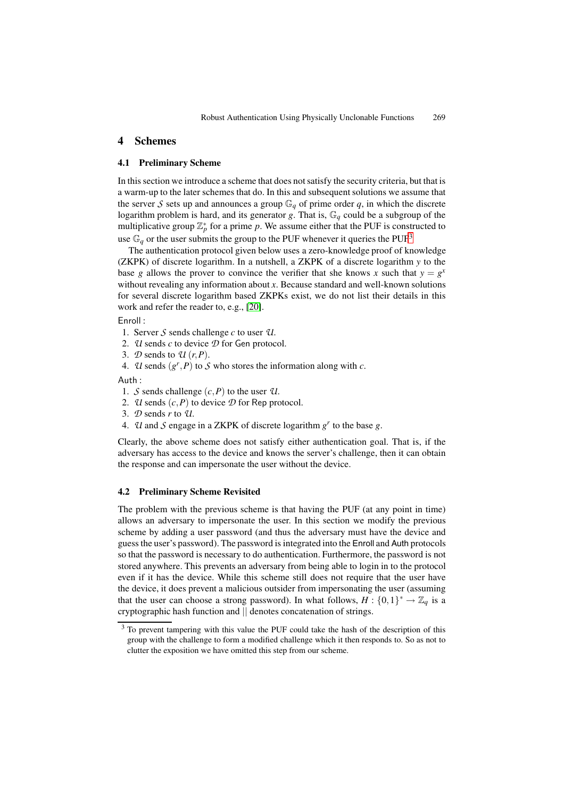# **4 Schemes**

#### **4.1 Preliminary Scheme**

<span id="page-7-0"></span>In this section we introduce a scheme that does not satisfy the security criteria, but that is a warm-up to the later schemes that do. In this and subsequent solutions we assume that the server S sets up and announces a group  $\mathbb{G}_q$  of prime order q, in which the discrete logarithm problem is hard, and its generator  $g$ . That is,  $\mathbb{G}_q$  could be a subgroup of the multiplicative group  $\mathbb{Z}_p^*$  for a prime p. We assume either that the PUF is constructed to use  $\mathbb{G}_q$  or the user submits the group to the PUF whenever it queries the PUF<sup>3</sup>

The authentication protocol given below uses a zero-knowledge proof of knowledge (ZKPK) of discrete logarithm. In a nutshell, a ZKPK of a discrete logarithm *y* to the base *g* allows the prover to convince the verifier that she knows *x* such that  $y = g^x$ without revealing any information about *x*. Because standard and well-know[n s](#page-7-2)olutions for several discrete logarithm based ZKPKs exist, we do not list their details in this work and refer the reader to, e.g., [20].

Enroll :

- 1. Server *S* sends challenge *c* to user *U*.
- 2. *U* sends *c* to device *D* for Gen protocol.
- 3.  $D$  sends to  $U(r, P)$ .
- 4. *U* sends  $(g^r, P)$  to *S* who stores the information along with *c*.

Auth :

- 1. *S* sends challenge  $(c, P)$  to the user *U*.
- 2. *U* sends  $(c, P)$  to device  $D$  for Rep protocol.
- 3. *D* sends *r* to *U*.
- 4. *U* and *S* engage in a ZKPK of discrete logarithm *g<sup>r</sup>* to the base *g*.

Clearly, the above scheme does not satisfy either authentication goal. That is, if the adversary has access to the device and knows the server's challenge, then it can obtain the response and can impersonate the user without the device.

#### **4.2 Preliminary Scheme Revisited**

<span id="page-7-1"></span>The problem with the previous scheme is that having the PUF (at any point in time) allows an adversary to impersonate the user. In this section we modify the previous scheme by adding a user password (and thus the adversary must have the device and guess the user's password). The password is integrated into the Enroll and Auth protocols so that the password is necessary to do authentication. Furthermore, the password is not stored anywhere. This prevents an adversary from being able to login in to the protocol even if it has the device. While this scheme still does not require that the user have the device, it does prevent a malicious outsider from impersonating the user (assuming that the user can choose a strong password). In what follows,  $H: \{0,1\}^* \to \mathbb{Z}_q$  is a cryptographic hash function and || denotes concatenation of strings.

<span id="page-7-2"></span><sup>&</sup>lt;sup>3</sup> To prevent tampering with this value the PUF could take the hash of the description of this group with the challenge to form a modified challenge which it then responds to. So as not to clutter the exposition we have omitted this step from our scheme.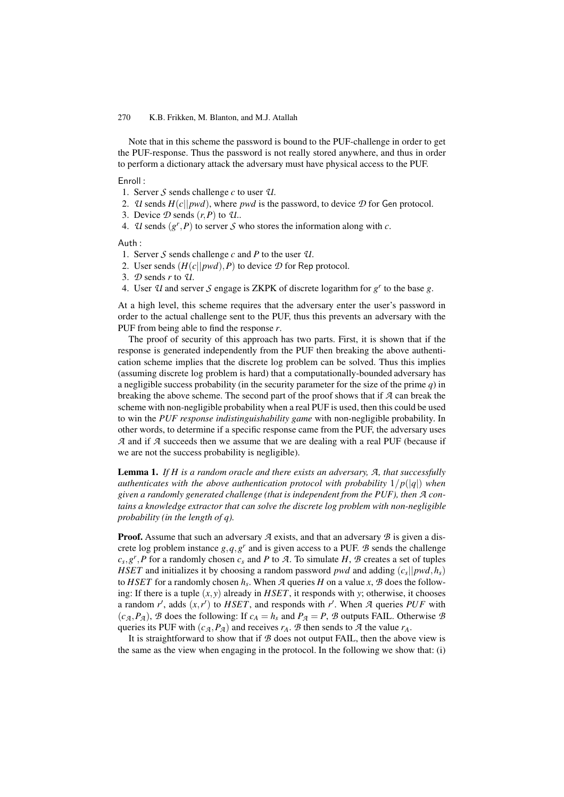Note that in this scheme the password is bound to the PUF-challenge in order to get the PUF-response. Thus the password is not really stored anywhere, and thus in order to perform a dictionary attack the adversary must have physical access to the PUF.

Enroll :

- 1. Server *S* sends challenge *c* to user *U*.
- 2. *U* sends  $H(c||pwd)$ , where *pwd* is the password, to device  $D$  for Gen protocol.
- 3. Device  $\mathcal{D}$  sends  $(r, P)$  to  $\mathcal{U}$ ..
- 4. *U* sends  $(g^r, P)$  to server *S* who stores the information along with *c*.

Auth :

- 1. Server *S* sends challenge *c* and *P* to the user *U*.
- 2. User sends  $(H(c||pwd), P)$  to device  $D$  for Rep protocol.
- 3. *D* sends *r* to *U*.
- 4. User *U* and server *S* engage is ZKPK of discrete logarithm for  $g<sup>r</sup>$  to the base *g*.

At a high level, this scheme requires that the adversary enter the user's password in order to the actual challenge sent to the PUF, thus this prevents an adversary with the PUF from being able to find the response *r*.

The proof of security of this approach has two parts. First, it is shown that if the response is generated independently from the PUF then breaking the above authentication scheme implies that the discrete log problem can be solved. Thus this implies (assuming discrete log problem is hard) that a computationally-bounded adversary has a negligible success probability (in the security parameter for the size of the prime *q*) in breaking the above scheme. The second part of the proof shows that if *A* can break the scheme with non-negligible probability when a real PUF is used, then this could be used to win the *PUF response indistinguishability game* with non-negligible probability. In other words, to determine if a specific response came from the PUF, the adversary uses *A* and if *A* succeeds then we assume that we are dealing with a real PUF (because if we are not the success probability is negligible).

<span id="page-8-0"></span>**Lemma 1.** *If H is a random oracle and there exists an adversary, A, that successfully authenticates with the above authentication protocol with probability* 1/*p*(|*q*|) *when given a randomly generated challenge (that is independent from the PUF), then A contains a knowledge extractor that can solve the discrete log problem with non-negligible probability (in the length of q).*

**Proof.** Assume that such an adversary *A* exists, and that an adversary *B* is given a discrete log problem instance  $g$ ,  $q$ ,  $g<sup>r</sup>$  and is given access to a PUF. *B* sends the challenge  $c_s$ ,  $g^r$ , *P* for a randomly chosen  $c_s$  and *P* to *A*. To simulate *H*, *B* creates a set of tuples *HSET* and initializes it by choosing a random password *pwd* and adding  $(c_s||pwd, h_s)$ to *HSET* for a randomly chosen  $h_s$ . When *A* queries *H* on a value *x*, *B* does the following: If there is a tuple (*x*,*y*) already in *HSET*, it responds with *y*; otherwise, it chooses a random  $r'$ , adds  $(x, r')$  to *HSET*, and responds with  $r'$ . When *A* queries *PUF* with  $(c_A, P_A)$ , *B* does the following: If  $c_A = h_s$  and  $P_A = P$ , *B* outputs FAIL. Otherwise *B* queries its PUF with  $(c_A, P_A)$  and receives  $r_A$ . *B* then sends to *A* the value  $r_A$ .

It is straightforward to show that if *B* does not output FAIL, then the above view is the same as the view when engaging in the protocol. In the following we show that: (i)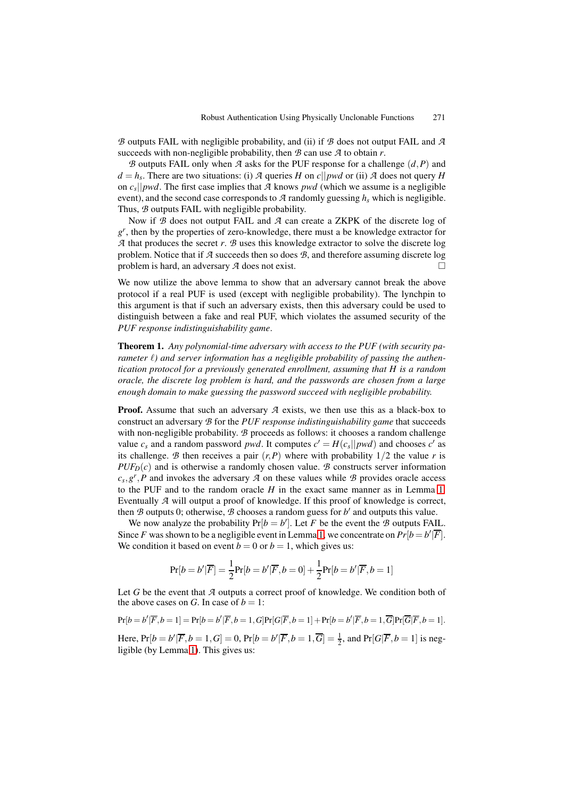*B* outputs FAIL with negligible probability, and (ii) if *B* does not output FAIL and *A* succeeds with non-negligible probability, then *B* can use *A* to obtain *r*.

*B* outputs FAIL only when *A* asks for the PUF response for a challenge (*d*,*P*) and  $d = h_s$ . There are two situations: (i) *A* queries *H* on *c*||*pwd* or (ii) *A* does not query *H* on  $c_s$ ||*pwd*. The first case implies that *A* knows *pwd* (which we assume is a negligible event), and the second case corresponds to  $A$  randomly guessing  $h_s$  which is negligible. Thus, *B* outputs FAIL with negligible probability.

Now if *B* does not output FAIL and *A* can create a ZKPK of the discrete log of *gr* , then by the properties of zero-knowledge, there must a be knowledge extractor for *A* that produces the secret *r*. *B* uses this knowledge extractor to solve the discrete log problem. Notice that if *A* succeeds then so does *B*, and therefore assuming discrete log<br>problem is hard an adversary *A* does not exist problem is hard, an adversary *A* does not exist. -

We now utilize the above lemma to show that an adversary cannot break the above protocol if a real PUF is used (except with negligible probability). The lynchpin to this argument is that if such an adversary exists, then this adversary could be used to distinguish between a fake and real PUF, which violates the assumed security of the *PUF response indistinguishability game*.

**Theorem 1.** *Any polynomial-time adversary with access to the PUF (with security pa*rameter  $\ell$ ) and server information has a negligible probability of passing the authen*tication protocol for a previously generated enrollment, assuming that H is a random oracle, the discrete log problem is hard, and the passwords are chosen from a large enough domain to make guessing the password succeed with negligible probability.*

**Proof.** Assume that such an adversary *A* exists, we then use this as a black-box to construct an adversary *B* for the *PUF response indistinguishability game* that succeeds with non-negligible probability. *B* proceeds as follows: it chooses a random challenge value c<sub>s</sub> and a random password *pwd*. It computes  $c' = H(c_s||pwd)$  and chooses c' as its challenge. *B* then receives a pair  $(r, P)$  where with probability  $1/2$  the value *r* is  $PUF<sub>D</sub>(c)$  and is otherwise a randomly chosen value. *B* constructs server information  $c_s$ ,  $g^r$ , *P* and invokes the adversary *A* on these values while *B* provides oracle access to the PUF and to the random oracle *H* in the exact same manner as in Lemma 1. Eventually *A* will output a proof of knowledge. If this proof of knowledge is correct, then  $\mathcal B$  outputs 0; otherwise,  $\mathcal B$  chooses a random guess for  $b'$  and outputs this value.

We now analyze the probability  $Pr[b = b']$ . Let *F* be the event the *B* outputs FAIL. Since *F* was shown to be a negligible event in Lemma 1, we concentrate on  $Pr[b = b'|\overline{F}]$  $Pr[b = b'|\overline{F}]$ . We condition it based on event  $b = 0$  or  $b = 1$ , which gives us:

$$
Pr[b = b'|\overline{F}] = \frac{1}{2}Pr[b = b'|\overline{F}, b = 0] + \frac{1}{2}Pr[b = b'|\overline{F}, b = 1]
$$

Let *G* be the event that *A* outputs a correct proof of knowledge. We condition both of the above cases on *G*. In case of  $b = 1$ :

 $Pr[b = b'|\overline{F}, b = 1] = Pr[b = b'|\overline{F}, b = 1, G]Pr[G|\overline{F}, b = 1] + Pr[b = b'|\overline{F}, b = 1, \overline{G}]Pr[\overline{G}|\overline{F}, b = 1].$ 

Here,  $Pr[b = b'|\overline{F}, b = 1, G] = 0$ ,  $Pr[b = b'|\overline{F}, b = 1, \overline{G}] = \frac{1}{2}$ , and  $Pr[G|\overline{F}, b = 1]$  is negligible (by Lemma 1). This gives us: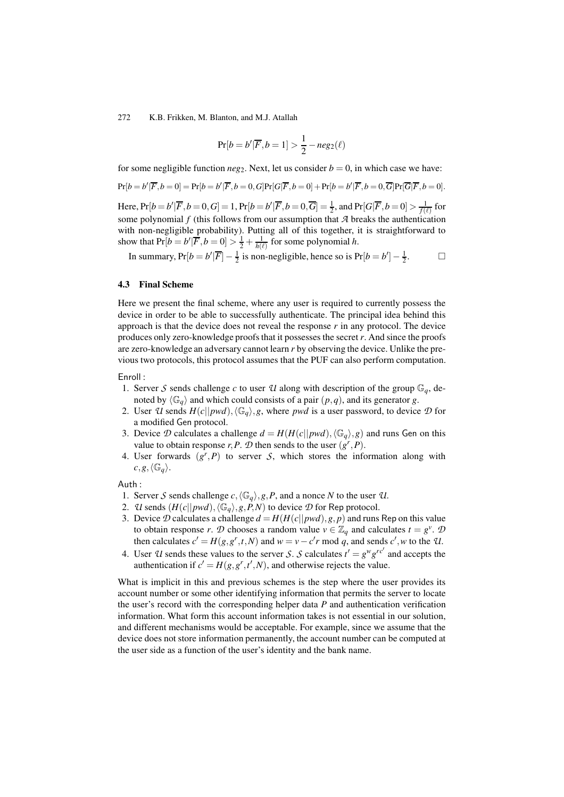$$
Pr[b = b'|\overline{F}, b = 1] > \frac{1}{2} - neg_2(\ell)
$$

for some negligible function  $neg_2$ . Next, let us consider  $b = 0$ , in which case we have:  $Pr[b = b'|\overline{F}, b = 0] = Pr[b = b'|\overline{F}, b = 0, G]Pr[G|\overline{F}, b = 0] + Pr[b = b'|\overline{F}, b = 0, \overline{G}]Pr[\overline{G}|\overline{F}, b = 0].$ Here,  $Pr[b=b'|\overline{F}, b=0, G]=1$ ,  $Pr[b=b'|\overline{F}, b=0, \overline{G}]=\frac{1}{2}$ , and  $Pr[G|\overline{F}, b=0] > \frac{1}{f(\ell)}$  for some polynomial  $f$  (this follows from our assumption that  $A$  breaks the authentication with non-negligible probability). Putting all of this together, it is straightforward to show that  $Pr[b = b'|\overline{F}, b = 0] > \frac{1}{2} + \frac{1}{h(\ell)}$  for some polynomial *h*.

In summary,  $Pr[b = b'|\overline{F}] - \frac{1}{2}$  is non-negligible, hence so is  $Pr[b = b'] - \frac{1}{2}$  $\frac{1}{2}$ .  $\Box$ 

# **4.3 Final Scheme**

Here we present the final scheme, where any user is required to currently possess the device in order to be able to successfully authenticate. The principal idea behind this approach is that the device does not reveal the response *r* in any protocol. The device produces only zero-knowledge proofs that it possesses the secret *r*. And since the proofs are zero-knowledge an adversary cannot learn *r* by observing the device. Unlike the previous two protocols, this protocol assumes that the PUF can also perform computation.

Enroll :

- 1. Server *S* sends challenge *c* to user *U* along with description of the group  $\mathbb{G}_q$ , denoted by  $\langle \mathbb{G}_q \rangle$  and which could consists of a pair  $(p,q)$ , and its generator *g*.
- 2. User *U* sends  $H(c||pwd), \langle \mathbb{G}_q \rangle, g$ , where *pwd* is a user password, to device *D* for a modified Gen protocol.
- 3. Device  $\mathcal D$  calculates a challenge  $d = H(H(c||pwd), \langle \mathbb G_q \rangle, g)$  and runs Gen on this value to obtain response *r*, *P*.  $\mathcal{D}$  then sends to the user  $(g^r, P)$ .
- 4. User forwards  $(g^r, P)$  to server *S*, which stores the information along with  $c, g, \langle \mathbb{G}_q \rangle$ .

Auth :

- 1. Server *S* sends challenge  $c$ ,  $\langle \mathbb{G}_q \rangle$ ,  $g$ ,  $P$ , and a nonce *N* to the user *U*.
- 2. *U* sends  $(H(c||pwd), \langle \mathbb{G}_q \rangle, g, P, N)$  to device  $D$  for Rep protocol.
- 3. Device  $D$  calculates a challenge  $d = H(H(c||pwd),g, p)$  and runs Rep on this value to obtain response *r*. *D* chooses a random value  $v \in \mathbb{Z}_q$  and calculates  $t = g^v$ . *D* then calculates  $c' = H(g, g^r, t, N)$  and  $w = v - c'r \mod q$ , and sends  $c', w$  to the *U*.
- 4. User *U* sends these values to the server *S*. *S* calculates  $t' = g<sup>w</sup>g<sup>rc'</sup>$  and accepts the authentication if  $c' = H(g, g^r, t', N)$ , and otherwise rejects the value.

What is implicit in this and previous schemes is the step where the user provides its account number or some other identifying information that permits the server to locate the user's record with the corresponding helper data *P* and authentication verification information. What form this account information takes is not essential in our solution, and different mechanisms would be acceptable. For example, since we assume that the device does not store information permanently, the account number can be computed at the user side as a function of the user's identity and the bank name.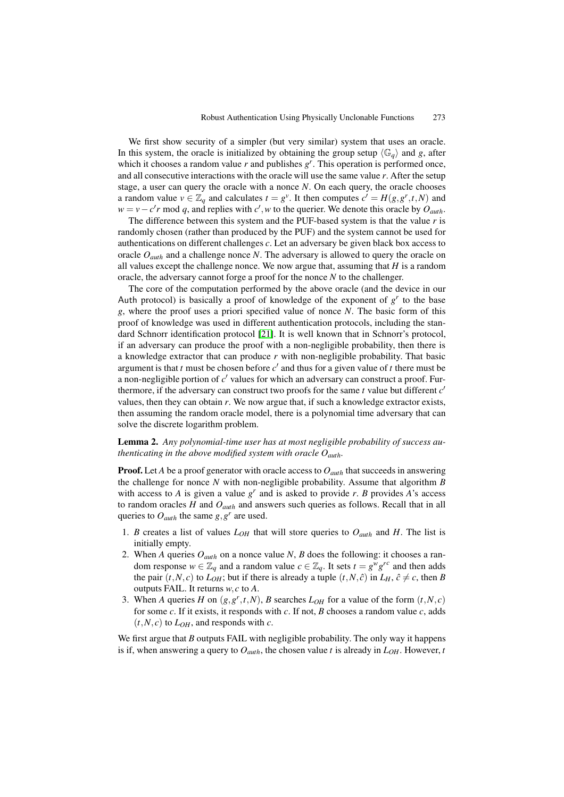We first show security of a simpler (but very similar) system that uses an oracle. In this system, the oracle is initialized by obtaining the group setup  $\langle \mathbb{G}_q \rangle$  and *g*, after which it chooses a random value  $r$  and publishes  $g<sup>r</sup>$ . This operation is performed once, and all consecutive interactions with the oracle will use the same value *r*. After the setup stage, a user can query the oracle with a nonce *N*. On each query, the oracle chooses a random value  $v \in \mathbb{Z}_q$  and calculates  $t = g^v$ . It then computes  $c' = H(g, g^r, t, N)$  and  $w = v - c'r$  mod q, and replies with  $c'$ , w to the querier. We denote this oracle by  $\hat{O}_{auth}$ .

The difference between this system and the PUF-based system is that the value *r* is randomly chosen (rather than produced by the PUF) and the system cannot be used for authentications on different challenges *c*. Let an adversary be given black box access to oracle  $O_{auth}$  and a challenge nonce  $N$ . The adversary is allowed to query the oracle on all values except the challenge nonce. We now argue that, assuming that  $H$  is a random oracle, the adversary cannot forge a proof for the nonce *N* to the challenger.

The core of the computation performed by the above oracle (and the device in our Auth protocol) is basically a proof of knowledge of the exponent of  $g<sup>r</sup>$  to the base *g*, where the proof uses a priori specified value of nonce *N*. The basic form of this proof of knowledge was used in different authentication protocols, including the standard Schnorr identification protocol [21]. It is well known that in Schnorr's protocol, if an adversary can produce the proof with a non-negligible probability, then there is a knowledge extractor that can produce *r* with non-negligible probability. That basic argument is that  $t$  must be chosen before  $c'$  and thus for a given value of  $t$  there must be a non-negligible portion of *c* values f[or w](#page-15-16)hich an adversary can construct a proof. Furthermore, if the adversary can construct two proofs for the same *t* value but different *c* values, then they can obtain *r*. We now argue that, if such a knowledge extractor exists, then assuming the random oracle model, there is a polynomial time adversary that can solve the discrete logarithm problem.

**Lemma 2.** *Any polynomial-time user has at most negligible probability of success authenticating in the above modified system with oracle Oauth.*

**Proof.** Let *A* be a proof generator with oracle access to *Oauth* that succeeds in answering the challenge for nonce *N* with non-negligible probability. Assume that algorithm *B* with access to *A* is given a value  $g<sup>r</sup>$  and is asked to provide *r*. *B* provides *A*'s access to random oracles *H* and *Oauth* and answers such queries as follows. Recall that in all queries to  $O_{auth}$  the same  $g, g^r$  are used.

- 1. *B* creates a list of values  $L_{OH}$  that will store queries to  $O_{auth}$  and *H*. The list is initially empty.
- 2. When *A* queries *Oauth* on a nonce value *N*, *B* does the following: it chooses a random response  $w \in \mathbb{Z}_q$  and a random value  $c \in \mathbb{Z}_q$ . It sets  $t = g^w g^{rc}$  and then adds the pair  $(t, N, c)$  to  $L_{OH}$ ; but if there is already a tuple  $(t, N, \hat{c})$  in  $L_H$ ,  $\hat{c} \neq c$ , then *B* outputs FAIL. It returns *w*,*c* to *A*.
- 3. When *A* queries *H* on  $(g, g^r, t, N)$ , *B* searches  $L_{OH}$  for a value of the form  $(t, N, c)$ for some *c*. If it exists, it responds with *c*. If not, *B* chooses a random value *c*, adds  $(t, N, c)$  to  $L_{OH}$ , and responds with *c*.

We first argue that *B* outputs FAIL with negligible probability. The only way it happens is if, when answering a query to  $O_{auth}$ , the chosen value *t* is already in  $L_{OH}$ . However, *t*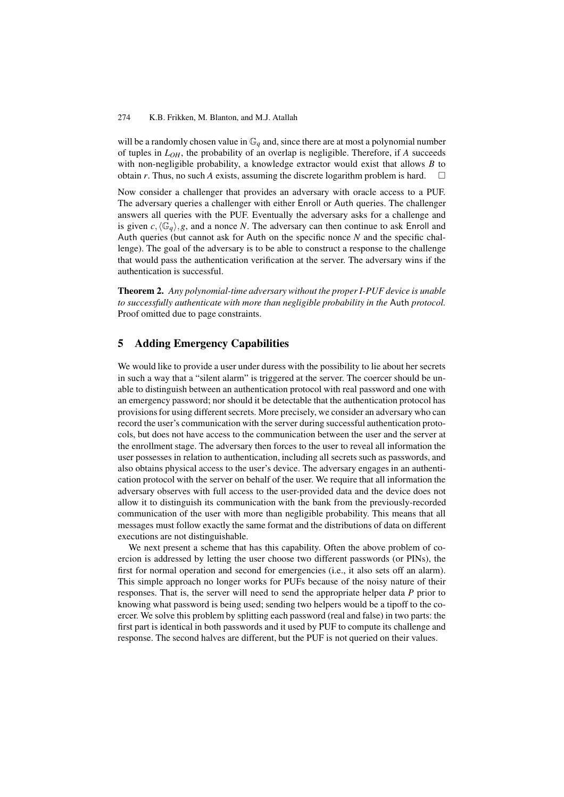will be a randomly chosen value in  $\mathbb{G}_q$  and, since there are at most a polynomial number of tuples in *LOH*, the probability of an overlap is negligible. Therefore, if *A* succeeds with non-negligible probability, a knowledge extractor would exist that allows *B* to obtain *r*. Thus, no such *A* exists, assuming the discrete logarithm problem is hard.  $\square$ 

Now consider a challenger that provides an adversary with oracle access to a PUF. The adversary queries a challenger with either Enroll or Auth queries. The challenger answers all queries with the PUF. Eventually the adversary asks for a challenge and is given  $c, \langle \mathbb{G}_q \rangle$ , g, and a nonce *N*. The adversary can then continue to ask Enroll and Auth queries (but cannot ask for Auth on the specific nonce *N* and the specific challenge). The goal of the adversary is to be able to construct a response to the challenge that would pass the authentication verification at the server. The adversary wins if the authentication is successful.

**Theorem 2.** *Any polynomial-time adversary without the proper I-PUF device is unable to successfully authenticate with more than negligible probability in the* Auth *protocol.* Proof omitted due to page constraints.

# **5 Adding Emergency Capabilities**

We would like to provide a user under duress with the possibility to lie about her secrets in such a way that a "silent alarm" is triggered at the server. The coercer should be unable to distinguish between an authentication protocol with real password and one with an emergency password; nor should it be detectable that the authentication protocol has provisions for using different secrets. More precisely, we consider an adversary who can record the user's communication with the server during successful authentication protocols, but does not have access to the communication between the user and the server at the enrollment stage. The adversary then forces to the user to reveal all information the user possesses in relation to authentication, including all secrets such as passwords, and also obtains physical access to the user's device. The adversary engages in an authentication protocol with the server on behalf of the user. We require that all information the adversary observes with full access to the user-provided data and the device does not allow it to distinguish its communication with the bank from the previously-recorded communication of the user with more than negligible probability. This means that all messages must follow exactly the same format and the distributions of data on different executions are not distinguishable.

We next present a scheme that has this capability. Often the above problem of coercion is addressed by letting the user choose two different passwords (or PINs), the first for normal operation and second for emergencies (i.e., it also sets off an alarm). This simple approach no longer works for PUFs because of the noisy nature of their responses. That is, the server will need to send the appropriate helper data *P* prior to knowing what password is being used; sending two helpers would be a tipoff to the coercer. We solve this problem by splitting each password (real and false) in two parts: the first part is identical in both passwords and it used by PUF to compute its challenge and response. The second halves are different, but the PUF is not queried on their values.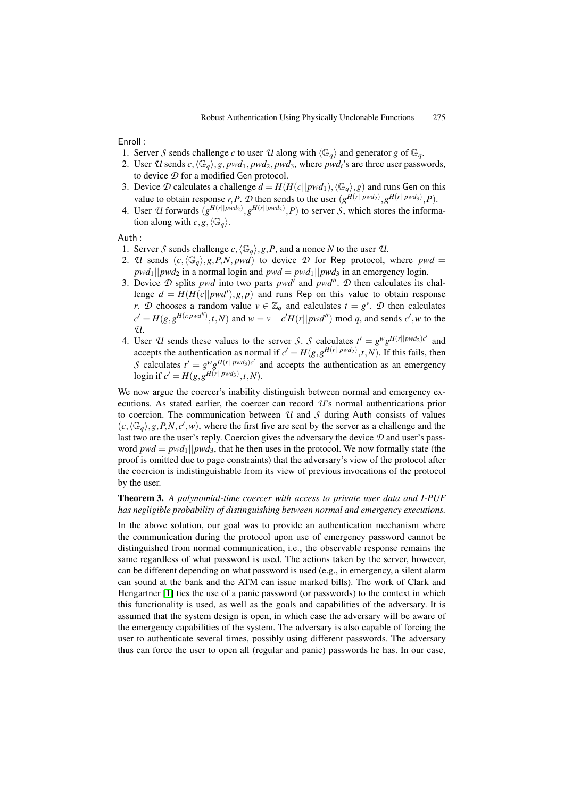Enroll :

- 1. Server *S* sends challenge *c* to user *U* along with  $\langle \mathbb{G}_q \rangle$  and generator *g* of  $\mathbb{G}_q$ .
- 2. User *U* sends  $c$ ,  $\langle \mathbb{G}_q \rangle$ ,  $g$ ,  $pwd_1$ ,  $pwd_2$ ,  $pwd_3$ , where  $pwd_i$ 's are three user passwords, to device *D* for a modified Gen protocol.
- 3. Device  $D$  calculates a challenge  $d = H(H(c||pwd_1), \langle \mathbb{G}_q \rangle, g)$  and runs Gen on this value to obtain response *r*, *P*. *D* then sends to the user  $(g^{H(r||pwd_2)}, g^{H(r||pwd_3)}, P)$ .
- 4. User *U* forwards  $(g^{H(r||pwd_2)}, g^{H(r||pwd_3)}, P)$  to server *S*, which stores the information along with  $c, g, \langle \mathbb{G}_q \rangle$ .

Auth :

- 1. Server *S* sends challenge  $c$ ,  $\langle \mathbb{G}_q \rangle$ ,  $g$ ,  $P$ , and a nonce *N* to the user *U*.
- 2. *U* sends  $(c, \langle \mathbb{G}_q \rangle, g, P, N, pwd)$  to device  $\mathcal{D}$  for Rep protocol, where  $pwd =$  $pwd_1||pwd_2$  in a normal login and  $pwd = pwd_1||pwd_3$  in an emergency login.
- 3. Device  $D$  splits *pwd* into two parts  $pwd'$  and  $pwd''$ .  $D$  then calculates its challenge  $d = H(H(c||pwd'), g, p)$  and runs Rep on this value to obtain response *r*. *D* chooses a random value  $v \in \mathbb{Z}_q$  and calculates  $t = g^v$ . *D* then calculates  $c' = H(g, g^{H(r, pwd'')}, t, N)$  and  $w = v - c'H(r||pwd'') \text{ mod } q$ , and sends  $c', w$  to the *U*.
- 4. User *U* sends these values to the server *S*. *S* calculates  $t' = g^{w}g^{H(r||pwd_2)c'}$  and accepts the authentication as normal if  $c' = H(g, g^{H(r||pwd_2)}, t, N)$ . If this fails, then *S* calculates  $t' = g^{w}g^{H(r||pwd_3)c'}$  and accepts the authentication as an emergency  $login$  if  $c' = H(g, g^{H(r||pwd_3)}, t, N)$ .

We now argue the coercer's inability distinguish between normal and emergency executions. As stated earlier, the coercer can record *U*'s normal authentications prior to coercion. The communication between *U* and *S* during Auth consists of values  $(c, \langle \mathbb{G}_q \rangle, g, P, N, c', w)$ , where the first five are sent by the server as a challenge and the last two are the user's reply. Coercion gives the adversary the device *D* and user's password  $pwd = pwd_1||pwd_3$ , that he then uses in the protocol. We now formally state (the proof is omitted due to page constraints) that the adversary's view of the protocol after the coercion is indistinguishable from its view of previous invocations of the protocol by the user.

### **Theorem 3.** *A polynomial-time coercer with access to private user data and I-PUF has negligible probability of distinguishing between normal and emergency executions.*

In the above solution, our goal was to provide an authentication mechanism where the communication during the protocol upon use of emergency password cannot be distinguished from normal communication, i.e., the observable response remains the same regardless of what password is used. The actions taken by the server, however, can be different depending on what password is used (e.g., in emergency, a silent alarm can sound at the bank and the ATM can issue marked bills). The work of Clark and Hengartner [1] ties the use of a panic password (or passwords) to the context in which this functionality is used, as well as the goals and capabilities of the adversary. It is assumed that the system design is open, in which case the adversary will be aware of the emergency capabilities of the system. The adversary is also capable of forcing the user to auth[en](#page-14-1)ticate several times, possibly using different passwords. The adversary thus can force the user to open all (regular and panic) passwords he has. In our case,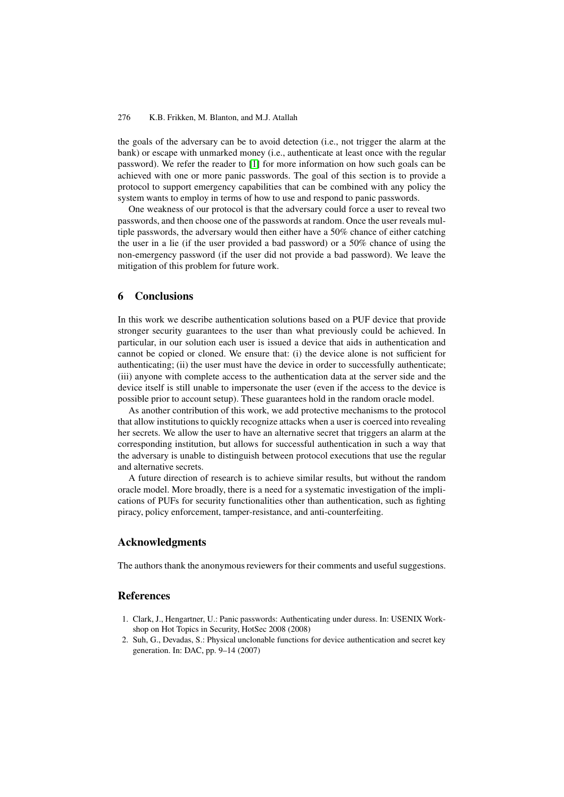the goals of the adversary can be to avoid detection (i.e., not trigger the alarm at the bank) or escape with unmarked money (i.e., authenticate at least once with the regular password). We refer the reader to [1] for more information on how such goals can be achieved with one or more panic passwords. The goal of this section is to provide a protocol to support emergency capabilities that can be combined with any policy the system wants to employ in terms of how to use and respond to panic passwords.

One weakness of our protocol i[s th](#page-14-1)at the adversary could force a user to reveal two passwords, and then choose one of the passwords at random. Once the user reveals multiple passwords, the adversary would then either have a 50% chance of either catching the user in a lie (if the user provided a bad password) or a 50% chance of using the non-emergency password (if the user did not provide a bad password). We leave the mitigation of this problem for future work.

# **6 Conclusions**

In this work we describe authentication solutions based on a PUF device that provide stronger security guarantees to the user than what previously could be achieved. In particular, in our solution each user is issued a device that aids in authentication and cannot be copied or cloned. We ensure that: (i) the device alone is not sufficient for authenticating; (ii) the user must have the device in order to successfully authenticate; (iii) anyone with complete access to the authentication data at the server side and the device itself is still unable to impersonate the user (even if the access to the device is possible prior to account setup). These guarantees hold in the random oracle model.

As another contribution of this work, we add protective mechanisms to the protocol that allow institutions to quickly recognize attacks when a user is coerced into revealing her secrets. We allow the user to have an alternative secret that triggers an alarm at the corresponding institution, but allows for successful authentication in such a way that the adversary is unable to distinguish between protocol executions that use the regular and alternative secrets.

A future direction of research is to achieve similar results, but without the random oracle model. More broadly, there is a need for a systematic investigation of the implications of PUFs for security functionalities other than authentication, such as fighting piracy, policy enforcement, tamper-resistance, and anti-counterfeiting.

# **Acknowledgments**

The authors thank the anonymous reviewers for their comments and useful suggestions.

### **References**

- 1. Clark, J., Hengartner, U.: Panic passwords: Authenticating under duress. In: USENIX Workshop on Hot Topics in Security, HotSec 2008 (2008)
- <span id="page-14-1"></span><span id="page-14-0"></span>2. Suh, G., Devadas, S.: Physical unclonable functions for device authentication and secret key generation. In: DAC, pp. 9–14 (2007)